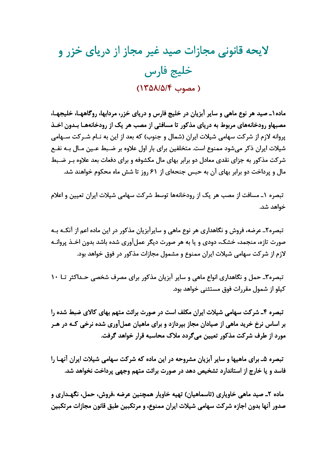## لایحه قانونی مجازات صید غیر مجاز از دریای خزر و خليج فارس ( مصوب ١٣٥٨/٥/٤)

ماده۱ـ صید هر نوع ماهی و سایر آبزیان در خلیج فارس و دریای خزر، مردابها، روگاههـا، خلیجهـا، مصبهاو رودخانههای مربوط به دریای مذکور تا مسافتی از مصب هر یک از رودخانههـا بـدون اخـذ پروانه لازم از شرکت سهامی شیلات ایران (شمال و جنوب) که بعد از این به نـام شـرکت سـهامی شیلات ایران ذکر میشود ممنوع است. متخلفین برای بار اول علاوه بر ضـبط عـین مـال بـه نفـع شرکت مذکور به جزای نقدی معادل دو برابر بهای مال مکشوفه و برای دفعات بعد علاوه بـر ضـبط مال و پرداخت دو برابر بهای آن به حبس جنحهای از ۶۱ روز تا شش ماه محکوم خواهند شد.

تبصره ١ـ مسافت از مصب هر یک از رودخانهها توسط شرکت سهامی شیلات ایران تعیین و اعلام خواهد شد.

تبصره۲ـ عرضه، فروش و نگاهداري هر نوع ماهي و سايرآبزيان مذكور در اين ماده اعم از آنكــه بــه صورت تازه، منجمد، خشک، دودی و یا به هر صورت دیگر عملآوری شده باشد بدون اخـذ پروانـه لازم از شرکت سهامی شیلات ایران ممنوع و مشمول مجازات مذکور در فوق خواهد بود.

تبصره۳ـ حمل و نگاهداری انواع ماهی و سایر آبزیان مذکور برای مصرف شخصی حـداکثر تـا ۱۰ کیلو از شمول مقررات فوق مستثنی خواهد بود.

تبصره ۴ـ شركت سهامي شيلات ايران مكلف است در صورت برائت متهم بهاي كالاي ضبط شده را بر اساس نرخ خرید ماهی از صیادان مجاز بپردازد و برای ماهیان عملآوری شده نرخی کـه در هـر مورد از طرف شرکت مذکور تعیین می گردد ملاک محاسبه قرار خواهد گرفت.

تبصره ۵ـ برای ماهیها و سایر آبزیان مشروحه در این ماده که شرکت سهامی شیلات ایران آنهـا را فاسد و یا خارج از استاندارد تشخیص دهد در صورت برائت متهم وجهی پرداخت نخواهد شد.

ماده ۲ـ صید ماهی خاویاری (تاسماهیان) تهیه خاویار همچنین عرضه ،فروش، حمل، نگهـداری و صدور آنها بدون اجازه شرکت سهامی شیلات ایران ممنوع، و مرتکبین طبق قانون مجازات مرتکبین